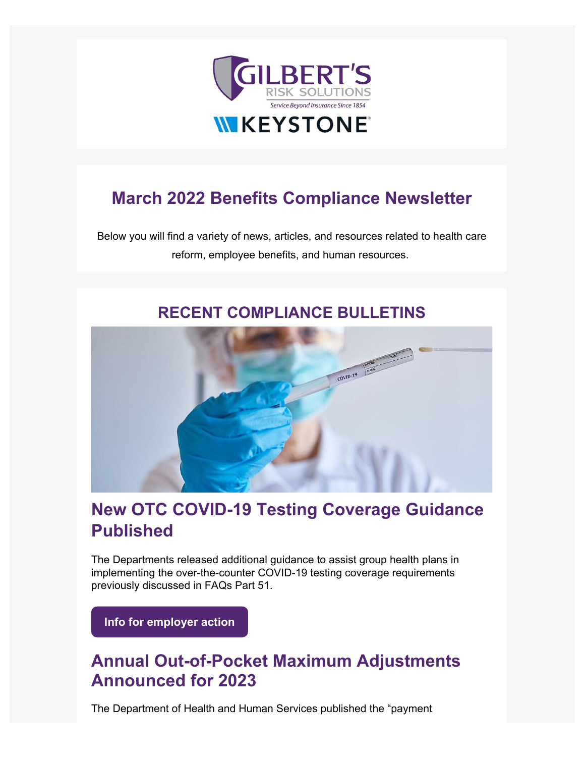

# **March 2022 Benefits Compliance Newsletter**

Below you will find a variety of news, articles, and resources related to health care reform, employee benefits, and human resources.

#### **RECENT COMPLIANCE BULLETINS**



## **[New OTC COVID-19 Testing Coverage Guidance](https://emersonreid.dmplocal.com/main/index.php?wd=ArticleGateway&dmp_tag=New%20OTC%20COVID-19%20Testing%20Coverage%20Guidance%20Published&article_id=23977&smart_skin_id=523&viewers_email=%5Brecipient_email%5D&id=%5Bid%5D&ids=%5Bids%5D&utm_campaign=Benefits_Newsletter&utm_source=hs_email&utm_medium=email&_hsenc=p2ANqtz-_Q5IW7EDSD8ziR1OX74cpdLoUYDrwPJZwsiKouF2CetqTHC8WHXAwrfWRCt5MEgFWQkW_5) [Published](https://emersonreid.dmplocal.com/main/index.php?wd=ArticleGateway&dmp_tag=New%20OTC%20COVID-19%20Testing%20Coverage%20Guidance%20Published&article_id=23977&smart_skin_id=523&viewers_email=%5Brecipient_email%5D&id=%5Bid%5D&ids=%5Bids%5D&utm_campaign=Benefits_Newsletter&utm_source=hs_email&utm_medium=email&_hsenc=p2ANqtz-_Q5IW7EDSD8ziR1OX74cpdLoUYDrwPJZwsiKouF2CetqTHC8WHXAwrfWRCt5MEgFWQkW_5)**

The Departments released additional guidance to assist group health plans in implementing the over-the-counter COVID-19 testing coverage requirements previously discussed in FAQs Part 51.

**[Info for employer action](https://emersonreid.dmplocal.com/main/?wd=ArticleGateway&article_id=23977&smart_skin_id=523&viewers_email=jfirst%40gilbertsrisksolutions.com%20%7Bowner%3Djginnis%40gilbertsrisksolutions.com%7D&id=48948&ids=45d182cae38f6a400257b928cc50476bfafa1263&utm_content=ElILEEZEIgZZCQBUSxILRgsRXkMNDUURC15XFVZXDQ8VSw0WXgAQDFMBEVoMC0ZwBQhcBwdDTRUKXREJRl8OFEQMDV9KSBtbDx8%3D&utm_campaign=Benefits_Newsletter&utm_source=hs_email&utm_medium=email&_hsenc=p2ANqtz-_Q5IW7EDSD8ziR1OX74cpdLoUYDrwPJZwsiKouF2CetqTHC8WHXAwrfWRCt5MEgFWQkW_5)**

## **Annual Out-of-Pocket Maximum Adjustments Announced for 2023**

The Department of Health and Human Services published the "payment